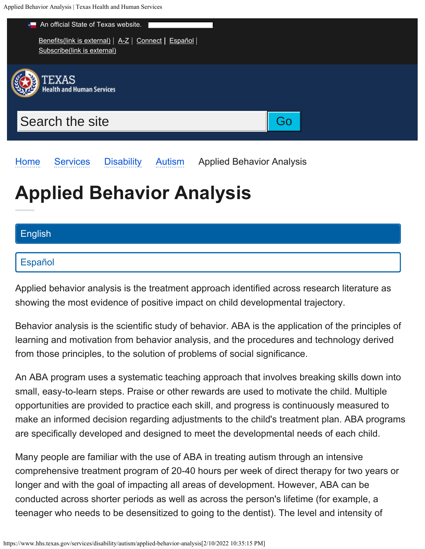<span id="page-0-0"></span>Applied Behavior Analysis | Texas Health and Human Services



**Applied Behavior Analysis**

[Home](https://www.hhs.texas.gov/) [Services](https://www.hhs.texas.gov/services) [Disability](https://www.hhs.texas.gov/services/disability) [Autism](https://www.hhs.texas.gov/services/disability/autism) Applied Behavior Analysis

## [English](#page-0-0)

## [Español](https://www.hhs.texas.gov/es/servicios/discapacidad/autismo/analisis-conductual-aplicado)

Applied behavior analysis is the treatment approach identified across research literature as showing the most evidence of positive impact on child developmental trajectory.

Behavior analysis is the scientific study of behavior. ABA is the application of the principles of learning and motivation from behavior analysis, and the procedures and technology derived from those principles, to the solution of problems of social significance.

An ABA program uses a systematic teaching approach that involves breaking skills down into small, easy-to-learn steps. Praise or other rewards are used to motivate the child. Multiple opportunities are provided to practice each skill, and progress is continuously measured to make an informed decision regarding adjustments to the child's treatment plan. ABA programs are specifically developed and designed to meet the developmental needs of each child.

Many people are familiar with the use of ABA in treating autism through an intensive comprehensive treatment program of 20-40 hours per week of direct therapy for two years or longer and with the goal of impacting all areas of development. However, ABA can be conducted across shorter periods as well as across the person's lifetime (for example, a teenager who needs to be desensitized to going to the dentist). The level and intensity of